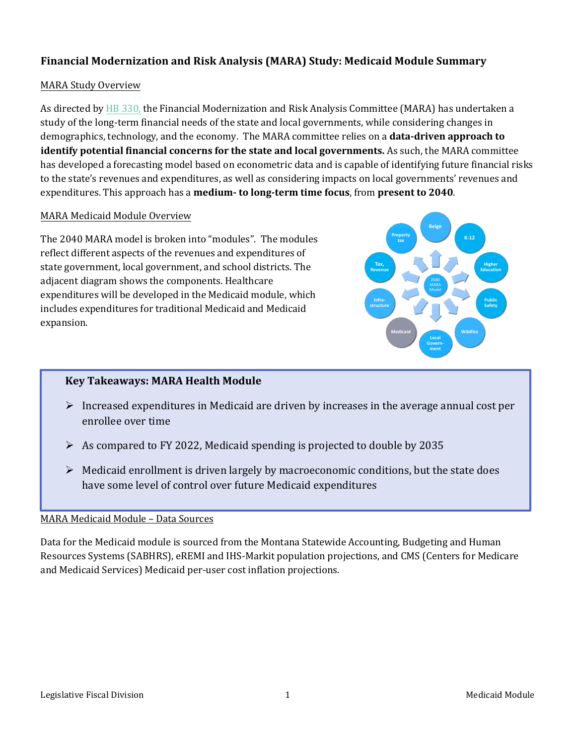# **Financial Modernization and Risk Analysis (MARA) Study: Medicaid Module Summary**

### MARA Study Overview

As directed by [HB 330,](http://laws.leg.mt.gov/legprd/LAW0203W$BSRV.ActionQuery?P_SESS=20211&P_BLTP_BILL_TYP_CD=HB&P_BILL_NO=330&P_BILL_DFT_NO=&P_CHPT_NO=&Z_ACTION=Find&P_ENTY_ID_SEQ2=&P_SBJT_SBJ_CD=&P_ENTY_ID_SEQ=) the Financial Modernization and Risk Analysis Committee (MARA) has undertaken a study of the long-term financial needs of the state and local governments, while considering changes in demographics, technology, and the economy. The MARA committee relies on a **data-driven approach to identify potential financial concerns for the state and local governments.** As such, the MARA committee has developed a forecasting model based on econometric data and is capable of identifying future financial risks to the state's revenues and expenditures, as well as considering impacts on local governments' revenues and expenditures. This approach has a **medium- to long-term time focus**, from **present to 2040**.

#### MARA Medicaid Module Overview

The 2040 MARA model is broken into "modules". The modules reflect different aspects of the revenues and expenditures of state government, local government, and school districts. The adjacent diagram shows the components. Healthcare expenditures will be developed in the Medicaid module, which includes expenditures for traditional Medicaid and Medicaid expansion.



## **Key Takeaways: MARA Health Module**

- $\triangleright$  Increased expenditures in Medicaid are driven by increases in the average annual cost per enrollee over time
- $\triangleright$  As compared to FY 2022, Medicaid spending is projected to double by 2035
- $\triangleright$  Medicaid enrollment is driven largely by macroeconomic conditions, but the state does have some level of control over future Medicaid expenditures

#### MARA Medicaid Module – Data Sources

Data for the Medicaid module is sourced from the Montana Statewide Accounting, Budgeting and Human Resources Systems (SABHRS), eREMI and IHS-Markit population projections, and CMS (Centers for Medicare and Medicaid Services) Medicaid per-user cost inflation projections.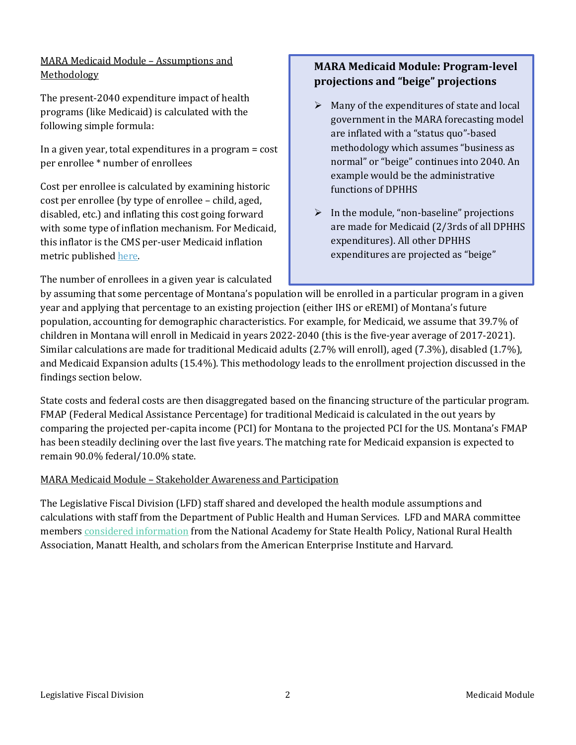# MARA Medicaid Module – Assumptions and **Methodology**

The present-2040 expenditure impact of health programs (like Medicaid) is calculated with the following simple formula:

In a given year, total expenditures in a program = cost per enrollee \* number of enrollees

Cost per enrollee is calculated by examining historic cost per enrollee (by type of enrollee – child, aged, disabled, etc.) and inflating this cost going forward with some type of inflation mechanism. For Medicaid, this inflator is the CMS per-user Medicaid inflation metric publishe[d here.](https://www.cms.gov/Research-Statistics-Data-and-Systems/Statistics-Trends-and-Reports/NationalHealthExpendData/NationalHealthAccountsProjected)

The number of enrollees in a given year is calculated

# **MARA Medicaid Module: Program-level projections and "beige" projections**

- $\triangleright$  Many of the expenditures of state and local government in the MARA forecasting model are inflated with a "status quo"-based methodology which assumes "business as normal" or "beige" continues into 2040. An example would be the administrative functions of DPHHS
- $\triangleright$  In the module, "non-baseline" projections are made for Medicaid (2/3rds of all DPHHS expenditures). All other DPHHS expenditures are projected as "beige"

by assuming that some percentage of Montana's population will be enrolled in a particular program in a given year and applying that percentage to an existing projection (either IHS or eREMI) of Montana's future population, accounting for demographic characteristics. For example, for Medicaid, we assume that 39.7% of children in Montana will enroll in Medicaid in years 2022-2040 (this is the five-year average of 2017-2021). Similar calculations are made for traditional Medicaid adults (2.7% will enroll), aged (7.3%), disabled (1.7%), and Medicaid Expansion adults (15.4%). This methodology leads to the enrollment projection discussed in the findings section below.

State costs and federal costs are then disaggregated based on the financing structure of the particular program. FMAP (Federal Medical Assistance Percentage) for traditional Medicaid is calculated in the out years by comparing the projected per-capita income (PCI) for Montana to the projected PCI for the US. Montana's FMAP has been steadily declining over the last five years. The matching rate for Medicaid expansion is expected to remain 90.0% federal/10.0% state.

## MARA Medicaid Module – Stakeholder Awareness and Participation

The Legislative Fiscal Division (LFD) staff shared and developed the health module assumptions and calculations with staff from the Department of Public Health and Human Services. LFD and MARA committee members [considered information](https://leg.mt.gov/lfd/mara-2023-biennium/) from the National Academy for State Health Policy, National Rural Health Association, Manatt Health, and scholars from the American Enterprise Institute and Harvard.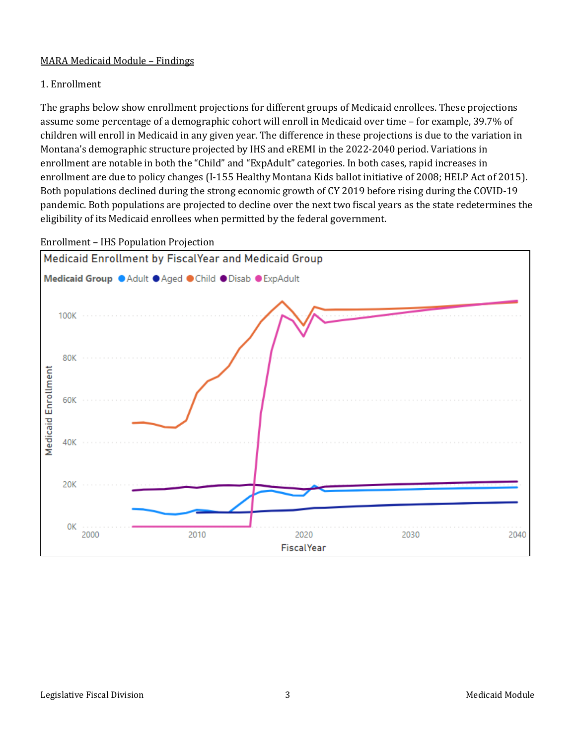## MARA Medicaid Module – Findings

## 1. Enrollment

The graphs below show enrollment projections for different groups of Medicaid enrollees. These projections assume some percentage of a demographic cohort will enroll in Medicaid over time – for example, 39.7% of children will enroll in Medicaid in any given year. The difference in these projections is due to the variation in Montana's demographic structure projected by IHS and eREMI in the 2022-2040 period. Variations in enrollment are notable in both the "Child" and "ExpAdult" categories. In both cases, rapid increases in enrollment are due to policy changes (I-155 Healthy Montana Kids ballot initiative of 2008; HELP Act of 2015). Both populations declined during the strong economic growth of CY 2019 before rising during the COVID-19 pandemic. Both populations are projected to decline over the next two fiscal years as the state redetermines the eligibility of its Medicaid enrollees when permitted by the federal government.



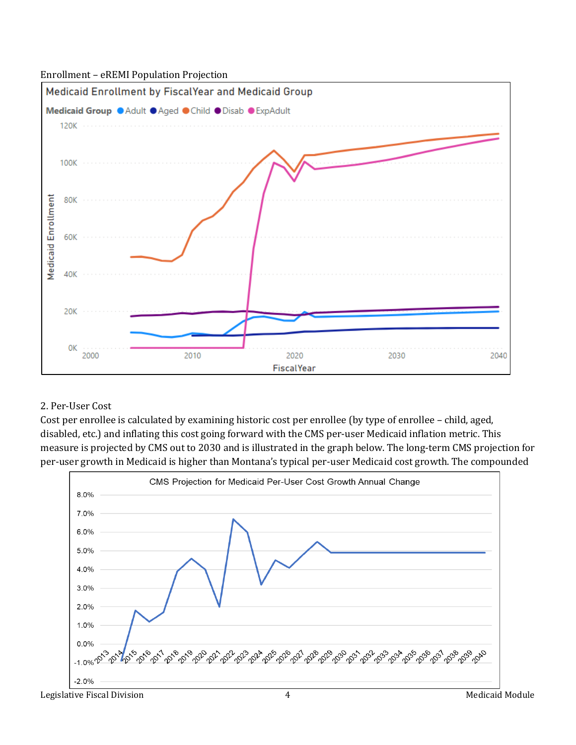#### Enrollment – eREMI Population Projection



## 2. Per-User Cost

Cost per enrollee is calculated by examining historic cost per enrollee (by type of enrollee – child, aged, disabled, etc.) and inflating this cost going forward with the CMS per-user Medicaid inflation metric. This measure is projected by CMS out to 2030 and is illustrated in the graph below. The long-term CMS projection for per-user growth in Medicaid is higher than Montana's typical per-user Medicaid cost growth. The compounded

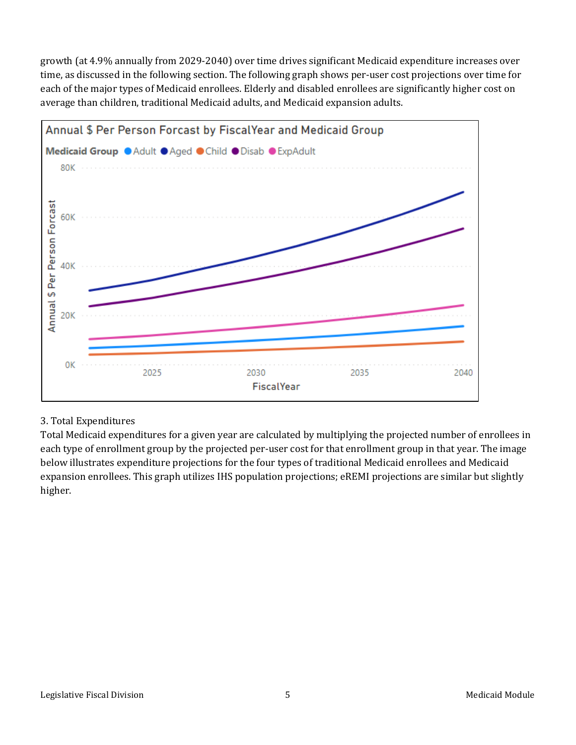growth (at 4.9% annually from 2029-2040) over time drives significant Medicaid expenditure increases over time, as discussed in the following section. The following graph shows per-user cost projections over time for each of the major types of Medicaid enrollees. Elderly and disabled enrollees are significantly higher cost on average than children, traditional Medicaid adults, and Medicaid expansion adults.



## 3. Total Expenditures

Total Medicaid expenditures for a given year are calculated by multiplying the projected number of enrollees in each type of enrollment group by the projected per-user cost for that enrollment group in that year. The image below illustrates expenditure projections for the four types of traditional Medicaid enrollees and Medicaid expansion enrollees. This graph utilizes IHS population projections; eREMI projections are similar but slightly higher.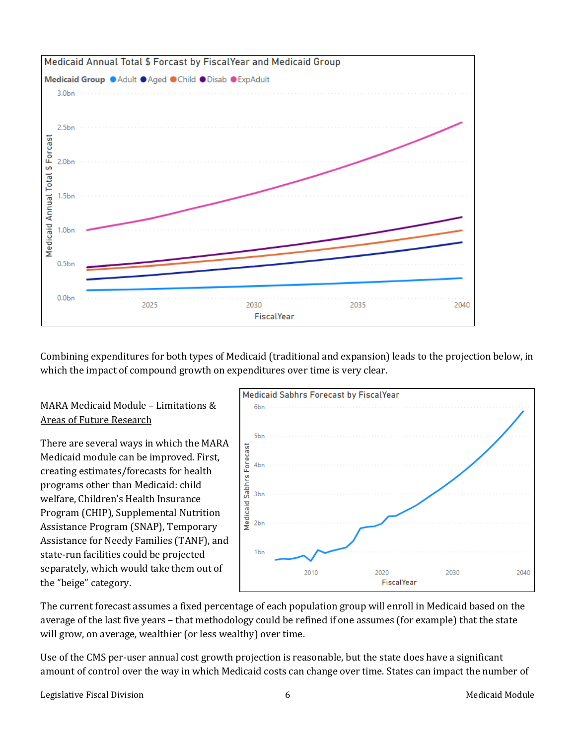

Combining expenditures for both types of Medicaid (traditional and expansion) leads to the projection below, in which the impact of compound growth on expenditures over time is very clear.

## MARA Medicaid Module – Limitations & Areas of Future Research

There are several ways in which the MARA Medicaid module can be improved. First, creating estimates/forecasts for health programs other than Medicaid: child welfare, Children's Health Insurance Program (CHIP), Supplemental Nutrition Assistance Program (SNAP), Temporary Assistance for Needy Families (TANF), and state-run facilities could be projected separately, which would take them out of the "beige" category.



The current forecast assumes a fixed percentage of each population group will enroll in Medicaid based on the average of the last five years – that methodology could be refined if one assumes (for example) that the state will grow, on average, wealthier (or less wealthy) over time.

Use of the CMS per-user annual cost growth projection is reasonable, but the state does have a significant amount of control over the way in which Medicaid costs can change over time. States can impact the number of

Legislative Fiscal Division **Medicaid Module** 6 Medicaid Module 1 Medicaid Module